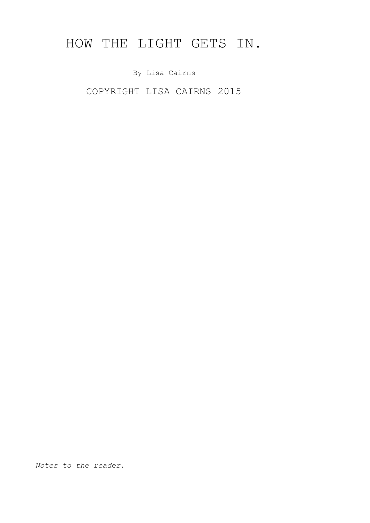# HOW THE LIGHT GETS IN.

By Lisa Cairns

COPYRIGHT LISA CAIRNS 2015

*Notes to the reader.*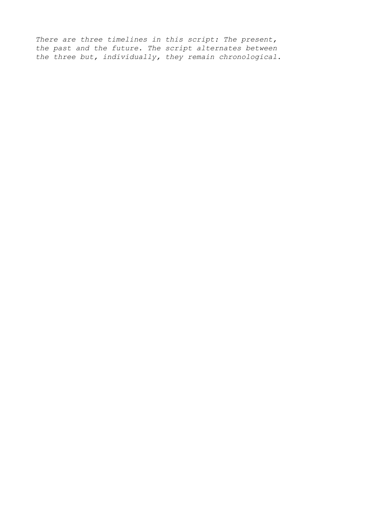*There are three timelines in this script: The present, the past and the future. The script alternates between the three but, individually, they remain chronological.*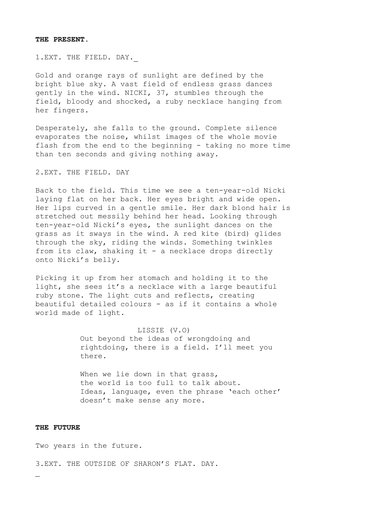## **THE PRESENT.**

1.EXT. THE FIELD. DAY.

Gold and orange rays of sunlight are defined by the bright blue sky. A vast field of endless grass dances gently in the wind. NICKI, 37, stumbles through the field, bloody and shocked, a ruby necklace hanging from her fingers.

Desperately, she falls to the ground. Complete silence evaporates the noise, whilst images of the whole movie flash from the end to the beginning - taking no more time than ten seconds and giving nothing away.

2.EXT. THE FIELD. DAY

Back to the field. This time we see a ten-year-old Nicki laying flat on her back. Her eyes bright and wide open. Her lips curved in a gentle smile. Her dark blond hair is stretched out messily behind her head. Looking through ten-year-old Nicki's eyes, the sunlight dances on the grass as it sways in the wind. A red kite (bird) glides through the sky, riding the winds. Something twinkles from its claw, shaking it - a necklace drops directly onto Nicki's belly.

Picking it up from her stomach and holding it to the light, she sees it's a necklace with a large beautiful ruby stone. The light cuts and reflects, creating beautiful detailed colours - as if it contains a whole world made of light.

> LISSIE (V.O) Out beyond the ideas of wrongdoing and rightdoing, there is a field. I'll meet you there.

When we lie down in that grass, the world is too full to talk about. Ideas, language, even the phrase 'each other' doesn't make sense any more.

#### **THE FUTURE**

Two years in the future.

3.EXT. THE OUTSIDE OF SHARON'S FLAT. DAY.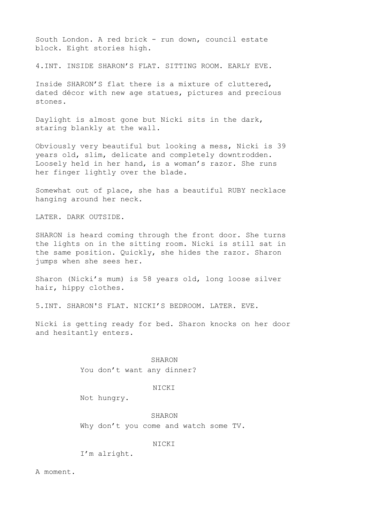South London. A red brick - run down, council estate block. Eight stories high.

4.INT. INSIDE SHARON'S FLAT. SITTING ROOM. EARLY EVE.

Inside SHARON'S flat there is a mixture of cluttered, dated décor with new age statues, pictures and precious stones.

Daylight is almost gone but Nicki sits in the dark, staring blankly at the wall.

Obviously very beautiful but looking a mess, Nicki is 39 years old, slim, delicate and completely downtrodden. Loosely held in her hand, is a woman's razor. She runs her finger lightly over the blade.

Somewhat out of place, she has a beautiful RUBY necklace hanging around her neck.

LATER. DARK OUTSIDE.

SHARON is heard coming through the front door. She turns the lights on in the sitting room. Nicki is still sat in the same position. Quickly, she hides the razor. Sharon jumps when she sees her.

Sharon (Nicki's mum) is 58 years old, long loose silver hair, hippy clothes.

5.INT. SHARON'S FLAT. NICKI'S BEDROOM. LATER. EVE.

Nicki is getting ready for bed. Sharon knocks on her door and hesitantly enters.

SHARON

You don't want any dinner?

#### NICKI

Not hungry.

SHARON Why don't you come and watch some TV.

NICKI

I'm alright.

A moment.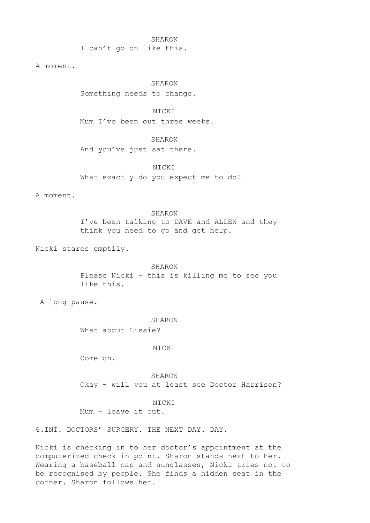SHARON I can't go on like this.

A moment.

SHARON Something needs to change.

NICKI Mum I've been out three weeks.

SHARON And you've just sat there.

NICKI What exactly do you expect me to do?

A moment.

SHARON I've been talking to DAVE and ALLEN and they think you need to go and get help.

Nicki stares emptily.

SHARON Please Nicki – this is killing me to see you like this.

A long pause.

SHARON

What about Lissie?

NICKI

Come on.

SHARON Okay - will you at least see Doctor Harrison?

NICKI

Mum – leave it out.

6.INT. DOCTORS' SURGERY. THE NEXT DAY. DAY.

Nicki is checking in to her doctor's appointment at the computerized check in point. Sharon stands next to her. Wearing a baseball cap and sunglasses, Nicki tries not to be recognised by people. She finds a hidden seat in the corner. Sharon follows her.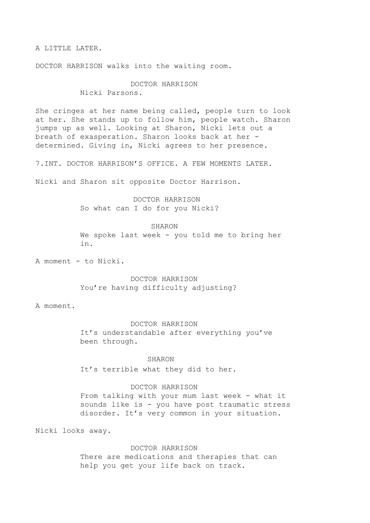A LITTLE LATER.

DOCTOR HARRISON walks into the waiting room.

## DOCTOR HARRISON

Nicki Parsons.

She cringes at her name being called, people turn to look at her. She stands up to follow him, people watch. Sharon jumps up as well. Looking at Sharon, Nicki lets out a breath of exasperation. Sharon looks back at her determined. Giving in, Nicki agrees to her presence.

7.INT. DOCTOR HARRISON'S OFFICE. A FEW MOMENTS LATER.

Nicki and Sharon sit opposite Doctor Harrison.

 DOCTOR HARRISON So what can I do for you Nicki?

#### SHARON

We spoke last week - you told me to bring her in.

A moment - to Nicki.

## DOCTOR HARRISON You're having difficulty adjusting?

A moment.

#### DOCTOR HARRISON

It's understandable after everything you've been through.

## SHARON

It's terrible what they did to her.

## DOCTOR HARRISON

From talking with your mum last week - what it sounds like is - you have post traumatic stress disorder. It's very common in your situation.

Nicki looks away.

#### DOCTOR HARRISON

There are medications and therapies that can help you get your life back on track.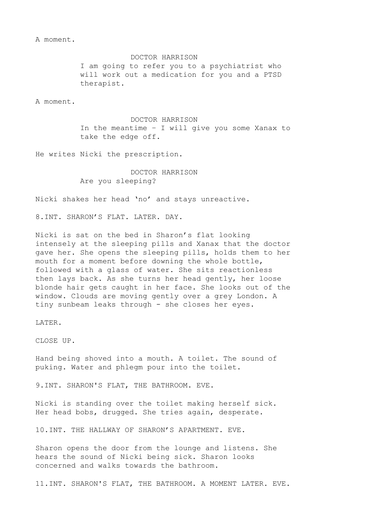A moment.

DOCTOR HARRISON I am going to refer you to a psychiatrist who will work out a medication for you and a PTSD therapist.

A moment.

DOCTOR HARRISON In the meantime – I will give you some Xanax to take the edge off.

He writes Nicki the prescription.

DOCTOR HARRISON Are you sleeping?

Nicki shakes her head 'no' and stays unreactive.

8.INT. SHARON'S FLAT. LATER. DAY.

Nicki is sat on the bed in Sharon's flat looking intensely at the sleeping pills and Xanax that the doctor gave her. She opens the sleeping pills, holds them to her mouth for a moment before downing the whole bottle, followed with a glass of water. She sits reactionless then lays back. As she turns her head gently, her loose blonde hair gets caught in her face. She looks out of the window. Clouds are moving gently over a grey London. A tiny sunbeam leaks through - she closes her eyes.

LATER.

CLOSE UP.

Hand being shoved into a mouth. A toilet. The sound of puking. Water and phlegm pour into the toilet.

9.INT. SHARON'S FLAT, THE BATHROOM. EVE.

Nicki is standing over the toilet making herself sick. Her head bobs, drugged. She tries again, desperate.

10.INT. THE HALLWAY OF SHARON'S APARTMENT. EVE.

Sharon opens the door from the lounge and listens. She hears the sound of Nicki being sick. Sharon looks concerned and walks towards the bathroom.

11.INT. SHARON'S FLAT, THE BATHROOM. A MOMENT LATER. EVE.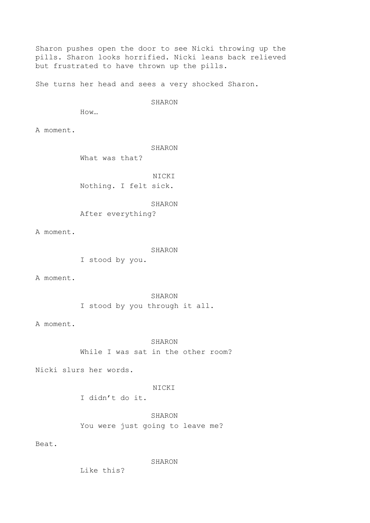Sharon pushes open the door to see Nicki throwing up the pills. Sharon looks horrified. Nicki leans back relieved but frustrated to have thrown up the pills.

She turns her head and sees a very shocked Sharon.

SHARON

How…

A moment.

SHARON

What was that?

NICKI Nothing. I felt sick.

SHARON

After everything?

A moment.

SHARON

I stood by you.

A moment.

SHARON I stood by you through it all.

A moment.

SHARON While I was sat in the other room?

Nicki slurs her words.

NICKI

I didn't do it.

SHARON You were just going to leave me?

Beat.

SHARON

Like this?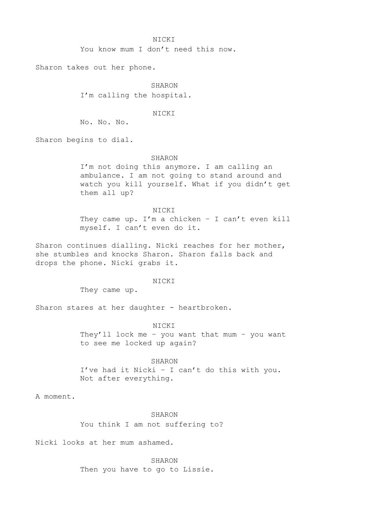You know mum I don't need this now.

Sharon takes out her phone.

SHARON I'm calling the hospital.

#### NICKI

No. No. No.

Sharon begins to dial.

#### SHARON

I'm not doing this anymore. I am calling an ambulance. I am not going to stand around and watch you kill yourself. What if you didn't get them all up?

NICKI

They came up. I'm a chicken - I can't even kill myself. I can't even do it.

Sharon continues dialling. Nicki reaches for her mother, she stumbles and knocks Sharon. Sharon falls back and drops the phone. Nicki grabs it.

#### NICKI

They came up.

Sharon stares at her daughter - heartbroken.

#### NICKI

They'll lock me – you want that mum – you want to see me locked up again?

#### SHARON

I've had it Nicki – I can't do this with you. Not after everything.

A moment.

#### SHARON

You think I am not suffering to?

Nicki looks at her mum ashamed.

SHARON Then you have to go to Lissie.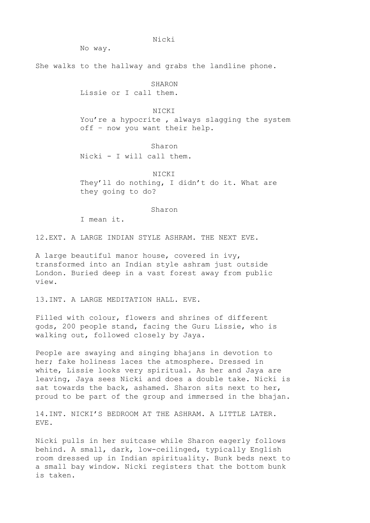No way.

She walks to the hallway and grabs the landline phone.

Nicki

SHARON

Lissie or I call them.

NICKI

You're a hypocrite, always slagging the system off – now you want their help.

Sharon

Nicki - I will call them.

NICKI They'll do nothing, I didn't do it. What are they going to do?

Sharon

I mean it.

12.EXT. A LARGE INDIAN STYLE ASHRAM. THE NEXT EVE.

A large beautiful manor house, covered in ivy, transformed into an Indian style ashram just outside London. Buried deep in a vast forest away from public view.

13.INT. A LARGE MEDITATION HALL. EVE.

Filled with colour, flowers and shrines of different gods, 200 people stand, facing the Guru Lissie, who is walking out, followed closely by Jaya.

People are swaying and singing bhajans in devotion to her; fake holiness laces the atmosphere. Dressed in white, Lissie looks very spiritual. As her and Jaya are leaving, Jaya sees Nicki and does a double take. Nicki is sat towards the back, ashamed. Sharon sits next to her, proud to be part of the group and immersed in the bhajan.

14.INT. NICKI'S BEDROOM AT THE ASHRAM. A LITTLE LATER. EVE.

Nicki pulls in her suitcase while Sharon eagerly follows behind. A small, dark, low-ceilinged, typically English room dressed up in Indian spirituality. Bunk beds next to a small bay window. Nicki registers that the bottom bunk is taken.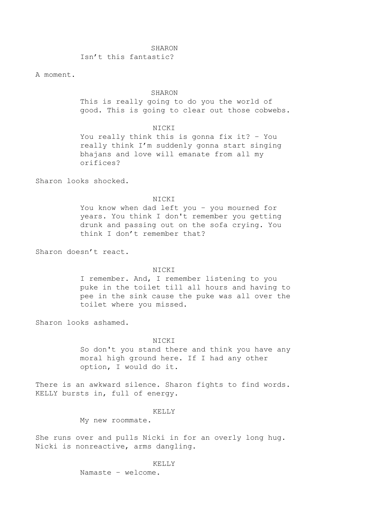#### SHARON

Isn't this fantastic?

A moment.

#### SHARON

This is really going to do you the world of good. This is going to clear out those cobwebs.

## NICKI

You really think this is gonna fix it? – You really think I'm suddenly gonna start singing bhajans and love will emanate from all my orifices?

Sharon looks shocked.

#### NICKI

You know when dad left you – you mourned for years. You think I don't remember you getting drunk and passing out on the sofa crying. You think I don't remember that?

Sharon doesn't react.

#### NICKI

I remember. And, I remember listening to you puke in the toilet till all hours and having to pee in the sink cause the puke was all over the toilet where you missed.

Sharon looks ashamed.

#### NICKI

So don't you stand there and think you have any moral high ground here. If I had any other option, I would do it.

There is an awkward silence. Sharon fights to find words. KELLY bursts in, full of energy.

## KELLY

My new roommate.

She runs over and pulls Nicki in for an overly long hug. Nicki is nonreactive, arms dangling.

#### KELLY

Namaste – welcome.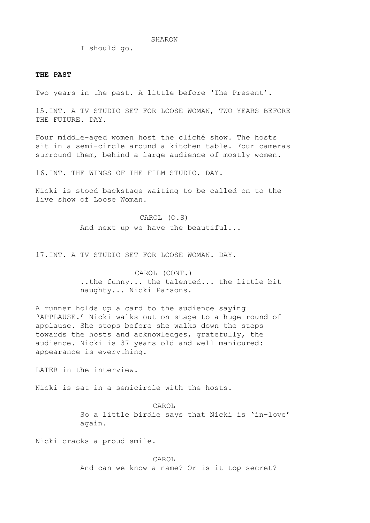SHARON

I should go.

#### **THE PAST**

Two years in the past. A little before 'The Present'.

15.INT. A TV STUDIO SET FOR LOOSE WOMAN, TWO YEARS BEFORE THE FUTURE. DAY.

Four middle-aged women host the cliché show. The hosts sit in a semi-circle around a kitchen table. Four cameras surround them, behind a large audience of mostly women.

16.INT. THE WINGS OF THE FILM STUDIO. DAY.

Nicki is stood backstage waiting to be called on to the live show of Loose Woman.

> CAROL (O.S) And next up we have the beautiful...

17.INT. A TV STUDIO SET FOR LOOSE WOMAN. DAY.

CAROL (CONT.) ..the funny... the talented... the little bit naughty... Nicki Parsons.

A runner holds up a card to the audience saying 'APPLAUSE.' Nicki walks out on stage to a huge round of applause. She stops before she walks down the steps towards the hosts and acknowledges, gratefully, the audience. Nicki is 37 years old and well manicured: appearance is everything.

LATER in the interview.

Nicki is sat in a semicircle with the hosts.

CAROL So a little birdie says that Nicki is 'in-love' again.

Nicki cracks a proud smile.

CAROL And can we know a name? Or is it top secret?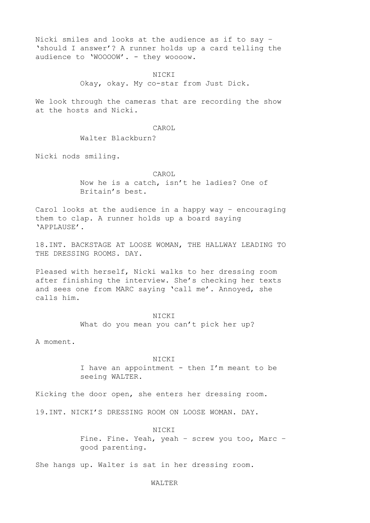Nicki smiles and looks at the audience as if to say – 'should I answer'? A runner holds up a card telling the audience to 'WOOOOW'. - they woooow.

### NICKI

Okay, okay. My co-star from Just Dick.

We look through the cameras that are recording the show at the hosts and Nicki.

## CAROL

## Walter Blackburn?

Nicki nods smiling.

#### CAROL

Now he is a catch, isn't he ladies? One of Britain's best.

Carol looks at the audience in a happy way – encouraging them to clap. A runner holds up a board saying 'APPLAUSE'.

18.INT. BACKSTAGE AT LOOSE WOMAN, THE HALLWAY LEADING TO THE DRESSING ROOMS. DAY.

Pleased with herself, Nicki walks to her dressing room after finishing the interview. She's checking her texts and sees one from MARC saying 'call me'. Annoyed, she calls him.

#### NICKI

What do you mean you can't pick her up?

A moment.

## NICKI

I have an appointment - then I'm meant to be seeing WALTER.

Kicking the door open, she enters her dressing room.

19.INT. NICKI'S DRESSING ROOM ON LOOSE WOMAN. DAY.

#### NICKI

Fine. Fine. Yeah, yeah – screw you too, Marc – good parenting.

She hangs up. Walter is sat in her dressing room.

## WALTER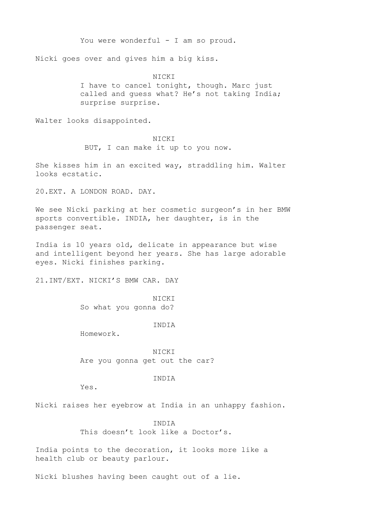You were wonderful - I am so proud.

Nicki goes over and gives him a big kiss.

**NICKI** I have to cancel tonight, though. Marc just called and guess what? He's not taking India; surprise surprise.

Walter looks disappointed.

### NICKI

BUT, I can make it up to you now.

She kisses him in an excited way, straddling him. Walter looks ecstatic.

20.EXT. A LONDON ROAD. DAY.

We see Nicki parking at her cosmetic surgeon's in her BMW sports convertible. INDIA, her daughter, is in the passenger seat.

India is 10 years old, delicate in appearance but wise and intelligent beyond her years. She has large adorable eyes. Nicki finishes parking.

21.INT/EXT. NICKI'S BMW CAR. DAY

NICKI So what you gonna do?

INDIA

Homework.

NICKI Are you gonna get out the car?

## INDIA

Yes.

Nicki raises her eyebrow at India in an unhappy fashion.

INDIA This doesn't look like a Doctor's.

India points to the decoration, it looks more like a health club or beauty parlour.

Nicki blushes having been caught out of a lie.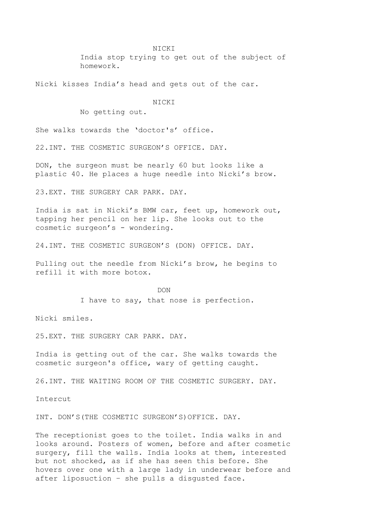India stop trying to get out of the subject of homework.

Nicki kisses India's head and gets out of the car.

NICKI

No getting out.

She walks towards the 'doctor's' office.

22.INT. THE COSMETIC SURGEON'S OFFICE. DAY.

DON, the surgeon must be nearly 60 but looks like a plastic 40. He places a huge needle into Nicki's brow.

23.EXT. THE SURGERY CAR PARK. DAY.

India is sat in Nicki's BMW car, feet up, homework out, tapping her pencil on her lip. She looks out to the cosmetic surgeon's - wondering.

24.INT. THE COSMETIC SURGEON'S (DON) OFFICE. DAY.

Pulling out the needle from Nicki's brow, he begins to refill it with more botox.

> DON I have to say, that nose is perfection.

Nicki smiles.

25.EXT. THE SURGERY CAR PARK. DAY.

India is getting out of the car. She walks towards the cosmetic surgeon's office, wary of getting caught.

26.INT. THE WAITING ROOM OF THE COSMETIC SURGERY. DAY.

Intercut

INT. DON'S(THE COSMETIC SURGEON'S)OFFICE. DAY.

The receptionist goes to the toilet. India walks in and looks around. Posters of women, before and after cosmetic surgery, fill the walls. India looks at them, interested but not shocked, as if she has seen this before. She hovers over one with a large lady in underwear before and after liposuction – she pulls a disgusted face.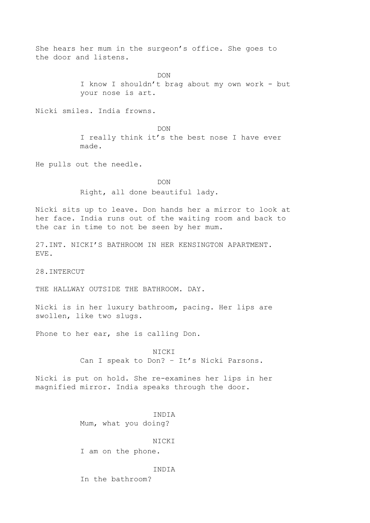She hears her mum in the surgeon's office. She goes to the door and listens.

DON

I know I shouldn't brag about my own work - but your nose is art.

Nicki smiles. India frowns.

DON

I really think it's the best nose I have ever made.

He pulls out the needle.

DON

Right, all done beautiful lady.

Nicki sits up to leave. Don hands her a mirror to look at her face. India runs out of the waiting room and back to the car in time to not be seen by her mum.

27.INT. NICKI'S BATHROOM IN HER KENSINGTON APARTMENT. EVE.

28.INTERCUT

THE HALLWAY OUTSIDE THE BATHROOM. DAY.

Nicki is in her luxury bathroom, pacing. Her lips are swollen, like two slugs.

Phone to her ear, she is calling Don.

NICKI Can I speak to Don? – It's Nicki Parsons.

Nicki is put on hold. She re-examines her lips in her magnified mirror. India speaks through the door.

> INDIA Mum, what you doing?

> > **NICKI**

I am on the phone.

INDIA

In the bathroom?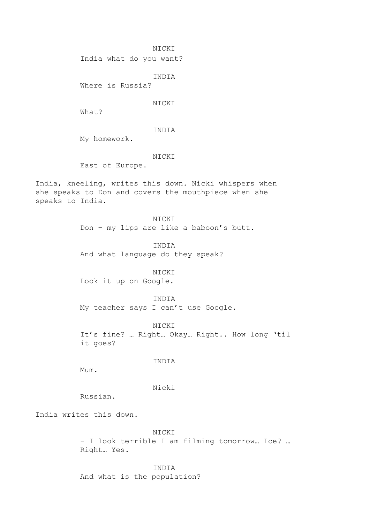India what do you want?

INDIA

Where is Russia?

NICKI

What?

INDIA

My homework.

NICKI

East of Europe.

India, kneeling, writes this down. Nicki whispers when she speaks to Don and covers the mouthpiece when she speaks to India.

> NICKI Don – my lips are like a baboon's butt.

> > INDIA

And what language do they speak?

NICKI

Look it up on Google.

INDIA

My teacher says I can't use Google.

NICKI It's fine? … Right… Okay… Right.. How long 'til it goes?

INDIA

Mum.

Nicki

Russian.

India writes this down.

NICKI - I look terrible I am filming tomorrow… Ice? … Right… Yes.

INDIA And what is the population?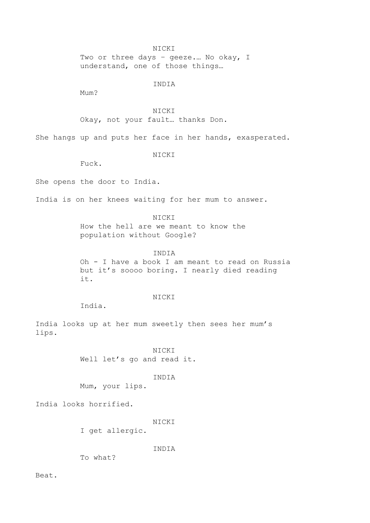Two or three days - geeze.... No okay, I understand, one of those things…

INDIA

Mum?

NICKI Okay, not your fault… thanks Don.

She hangs up and puts her face in her hands, exasperated.

NICKI

Fuck.

She opens the door to India.

India is on her knees waiting for her mum to answer.

NICKI How the hell are we meant to know the population without Google?

INDIA Oh - I have a book I am meant to read on Russia but it's soooo boring. I nearly died reading

it.

## NICKI

India.

India looks up at her mum sweetly then sees her mum's lips.

> NICKI Well let's go and read it.

## INDIA

Mum, your lips.

India looks horrified.

#### NICKI

I get allergic.

INDIA

To what?

Beat.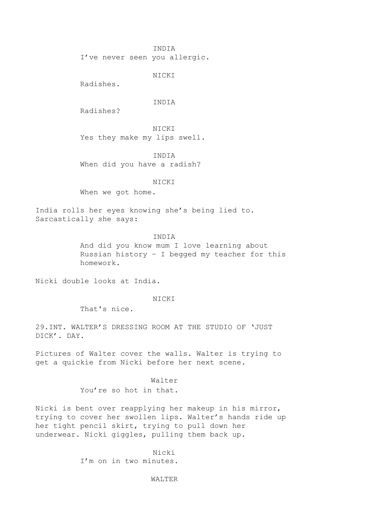INDIA

I've never seen you allergic.

NICKI

Radishes.

#### INDIA

Radishes?

**NICKI** Yes they make my lips swell.

INDIA When did you have a radish?

NICKI

When we got home.

India rolls her eyes knowing she's being lied to. Sarcastically she says:

#### INDIA

And did you know mum I love learning about Russian history – I begged my teacher for this homework.

Nicki double looks at India.

## NICKI

That's nice.

29.INT. WALTER'S DRESSING ROOM AT THE STUDIO OF 'JUST DICK'. DAY.

Pictures of Walter cover the walls. Walter is trying to get a quickie from Nicki before her next scene.

#### Walter

You're so hot in that.

Nicki is bent over reapplying her makeup in his mirror, trying to cover her swollen lips. Walter's hands ride up her tight pencil skirt, trying to pull down her underwear. Nicki giggles, pulling them back up.

> Nicki I'm on in two minutes.

#### WALTER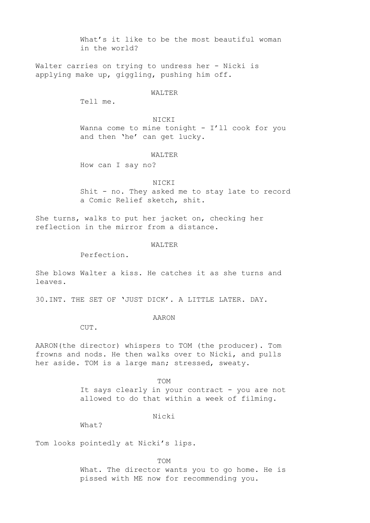What's it like to be the most beautiful woman in the world?

Walter carries on trying to undress her - Nicki is applying make up, giggling, pushing him off.

#### WALTER

Tell me.

## NICKI

Wanna come to mine tonight - I'll cook for you and then 'he' can get lucky.

## WALTER

How can I say no?

#### NICKI

Shit - no. They asked me to stay late to record a Comic Relief sketch, shit.

She turns, walks to put her jacket on, checking her reflection in the mirror from a distance.

#### WALTER

Perfection.

She blows Walter a kiss. He catches it as she turns and leaves.

30.INT. THE SET OF 'JUST DICK'. A LITTLE LATER. DAY.

## AARON

CUT.

AARON(the director) whispers to TOM (the producer). Tom frowns and nods. He then walks over to Nicki, and pulls her aside. TOM is a large man; stressed, sweaty.

TOM

It says clearly in your contract - you are not allowed to do that within a week of filming.

Nicki

What?

Tom looks pointedly at Nicki's lips.

TOM What. The director wants you to go home. He is pissed with ME now for recommending you.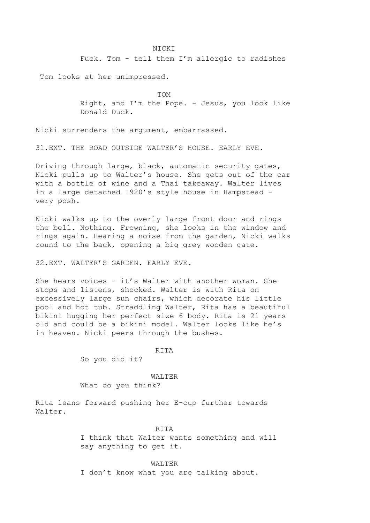Fuck. Tom - tell them I'm allergic to radishes

Tom looks at her unimpressed.

TOM

Right, and I'm the Pope. - Jesus, you look like Donald Duck.

Nicki surrenders the argument, embarrassed.

31.EXT. THE ROAD OUTSIDE WALTER'S HOUSE. EARLY EVE.

Driving through large, black, automatic security gates, Nicki pulls up to Walter's house. She gets out of the car with a bottle of wine and a Thai takeaway. Walter lives in a large detached 1920's style house in Hampstead very posh.

Nicki walks up to the overly large front door and rings the bell. Nothing. Frowning, she looks in the window and rings again. Hearing a noise from the garden, Nicki walks round to the back, opening a big grey wooden gate.

32.EXT. WALTER'S GARDEN. EARLY EVE.

She hears voices – it's Walter with another woman. She stops and listens, shocked. Walter is with Rita on excessively large sun chairs, which decorate his little pool and hot tub. Straddling Walter, Rita has a beautiful bikini hugging her perfect size 6 body. Rita is 21 years old and could be a bikini model. Walter looks like he's in heaven. Nicki peers through the bushes.

RITA

So you did it?

WALTER What do you think?

Rita leans forward pushing her E-cup further towards Walter.

> RITA I think that Walter wants something and will say anything to get it.

WALTER I don't know what you are talking about.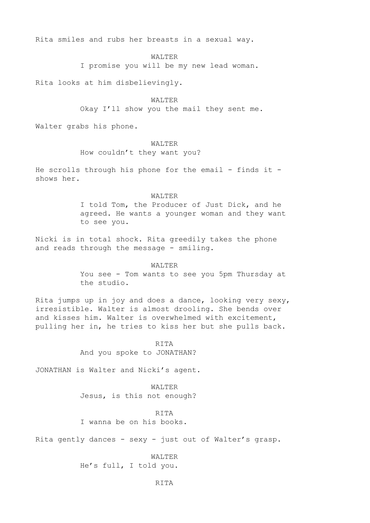Rita smiles and rubs her breasts in a sexual way.

WALTER

I promise you will be my new lead woman.

Rita looks at him disbelievingly.

WALTER Okay I'll show you the mail they sent me.

Walter grabs his phone.

#### WALTER

How couldn't they want you?

He scrolls through his phone for the email - finds it shows her.

#### WALTER

I told Tom, the Producer of Just Dick, and he agreed. He wants a younger woman and they want to see you.

Nicki is in total shock. Rita greedily takes the phone and reads through the message - smiling.

#### WALTER

You see - Tom wants to see you 5pm Thursday at the studio.

Rita jumps up in joy and does a dance, looking very sexy, irresistible. Walter is almost drooling. She bends over and kisses him. Walter is overwhelmed with excitement, pulling her in, he tries to kiss her but she pulls back.

> RITA And you spoke to JONATHAN?

JONATHAN is Walter and Nicki's agent.

WALTER Jesus, is this not enough?

## RITA

I wanna be on his books.

Rita gently dances - sexy - just out of Walter's grasp.

WALTER He's full, I told you.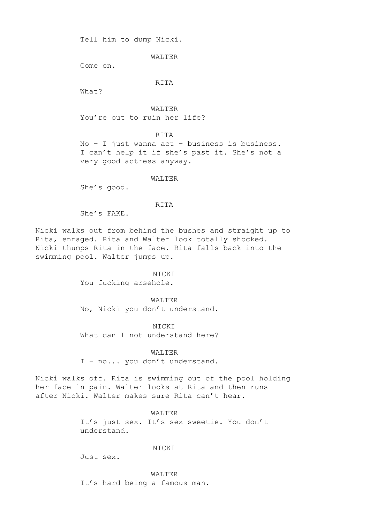Tell him to dump Nicki.

WALTER

Come on.

RITA

What?

WALTER You're out to ruin her life?

RITA No – I just wanna act – business is business. I can't help it if she's past it. She's not a very good actress anyway.

WALTER

She's good.

RITA

She's FAKE.

Nicki walks out from behind the bushes and straight up to Rita, enraged. Rita and Walter look totally shocked. Nicki thumps Rita in the face. Rita falls back into the swimming pool. Walter jumps up.

> NICKI You fucking arsehole.

WALTER No, Nicki you don't understand.

NICKI What can I not understand here?

WALTER

I – no... you don't understand.

Nicki walks off. Rita is swimming out of the pool holding her face in pain. Walter looks at Rita and then runs after Nicki. Walter makes sure Rita can't hear.

WALTER

It's just sex. It's sex sweetie. You don't understand.

NICKI

Just sex.

WALTER

It's hard being a famous man.